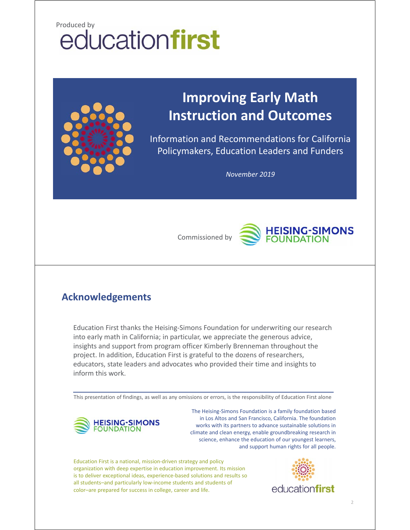# **Produced by**<br> **educationfirst**



# **Improving Early Math Instruction and Outcomes**

Information and Recommendations for California Policymakers, Education Leaders and Funders

*November 2019*



### **Acknowledgements**

Education First thanks the Heising‐Simons Foundation for underwriting our research into early math in California; in particular, we appreciate the generous advice, insights and support from program officer Kimberly Brenneman throughout the project. In addition, Education First is grateful to the dozens of researchers, educators, state leaders and advocates who provided their time and insights to inform this work.

This presentation of findings, as well as any omissions or errors, is the responsibility of Education First alone



The Heising‐Simons Foundation is a family foundation based in Los Altos and San Francisco, California. The foundation works with its partners to advance sustainable solutions in climate and clean energy, enable groundbreaking research in science, enhance the education of our youngest learners, and support human rights for all people.

Education First is a national, mission‐driven strategy and policy organization with deep expertise in education improvement. Its mission is to deliver exceptional ideas, experience‐based solutions and results so all students–and particularly low‐income students and students of color–are prepared for success in college, career and life.

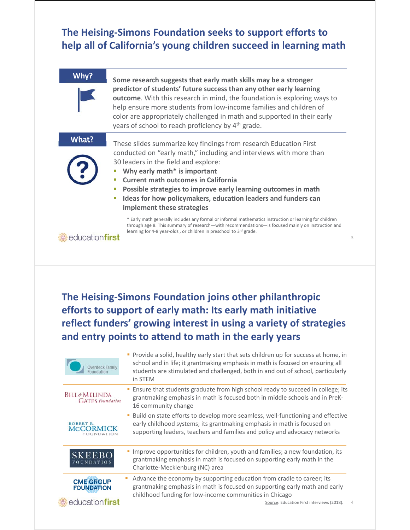### **The Heising‐Simons Foundation seeks to support efforts to help all of California's young children succeed in learning math**

| Why?                                            | Some research suggests that early math skills may be a stronger<br>predictor of students' future success than any other early learning<br>outcome. With this research in mind, the foundation is exploring ways to<br>help ensure more students from low-income families and children of<br>color are appropriately challenged in math and supported in their early<br>years of school to reach proficiency by 4 <sup>th</sup> grade.              |
|-------------------------------------------------|----------------------------------------------------------------------------------------------------------------------------------------------------------------------------------------------------------------------------------------------------------------------------------------------------------------------------------------------------------------------------------------------------------------------------------------------------|
| What?                                           | These slides summarize key findings from research Education First<br>conducted on "early math," including and interviews with more than<br>30 leaders in the field and explore:<br>Why early math* is important<br>ш<br><b>Current math outcomes in California</b><br>×<br>Possible strategies to improve early learning outcomes in math<br>ш<br>Ideas for how policymakers, education leaders and funders can<br>п<br>implement these strategies |
| educationfirst                                  | * Early math generally includes any formal or informal mathematics instruction or learning for children<br>through age 8. This summary of research—with recommendations—is focused mainly on instruction and<br>learning for 4-8 year-olds, or children in preschool to 3rd grade.<br>3                                                                                                                                                            |
|                                                 | The Heising-Simons Foundation joins other philanthropic<br>efforts to support of early math: Its early math initiative<br>reflect funders' growing interest in using a variety of strategies<br>and entry points to attend to math in the early years                                                                                                                                                                                              |
| Overdeck Family<br>Foundation                   | Provide a solid, healthy early start that sets children up for success at home, in<br>school and in life; it grantmaking emphasis in math is focused on ensuring all<br>students are stimulated and challenged, both in and out of school, particularly<br>in STEM                                                                                                                                                                                 |
| <b>BILL</b> &MELINDA<br><b>GATES</b> foundation | " Ensure that students graduate from high school ready to succeed in college; its<br>grantmaking emphasis in math is focused both in middle schools and in PreK-                                                                                                                                                                                                                                                                                   |

|                                                    | 16 community change                                                                                                                                                                                                                        |
|----------------------------------------------------|--------------------------------------------------------------------------------------------------------------------------------------------------------------------------------------------------------------------------------------------|
| ROBERT R.<br><b>MCCORMICK</b><br><b>FOUNDATION</b> | • Build on state efforts to develop more seamless, well-functioning and effective<br>early childhood systems; its grantmaking emphasis in math is focused on<br>supporting leaders, teachers and families and policy and advocacy networks |
| <b>SKEEBO</b><br><b>FOUNDATION</b>                 | Improve opportunities for children, youth and families; a new foundation, its<br>grantmaking emphasis in math is focused on supporting early math in the<br>Charlotte-Mecklenburg (NC) area                                                |

Charlotte‐Mecklenburg (NC) area Advance the economy by supporting education from cradle to career; its **CME GROUP**<br>FOUNDATION grantmaking emphasis in math is focused on supporting early math and early childhood funding for low‐income communities in Chicago educationfirst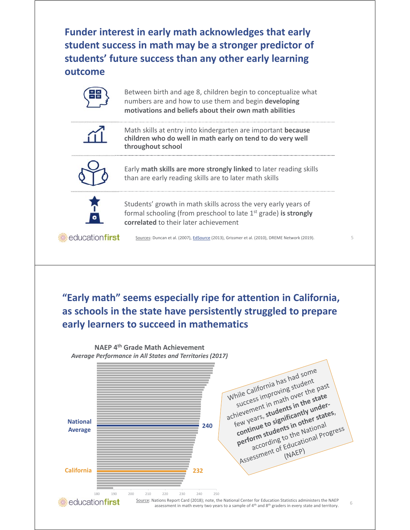**Funder interest in early math acknowledges that early student success in math may be a stronger predictor of students' future success than any other early learning outcome**

|  |  | Between birth and age 8, children begin to conceptualize what<br>numbers are and how to use them and begin developing<br>motivations and beliefs about their own math abilities |  |
|--|--|---------------------------------------------------------------------------------------------------------------------------------------------------------------------------------|--|
|  |  | Math skills at entry into kindergarten are important because<br>children who do well in math early on tend to do very well<br>throughout school                                 |  |
|  |  | Early math skills are more strongly linked to later reading skills<br>than are early reading skills are to later math skills                                                    |  |
|  |  | Students' growth in math skills across the very early years of<br>formal schooling (from preschool to late $1st$ grade) is strongly<br>correlated to their later achievement    |  |
|  |  | Sources: Duncan et al. (2007), EdSource (2013), Grissmer et al. (2010), DREME Network (2019).                                                                                   |  |

**"Early math" seems especially ripe for attention in California, as schools in the state have persistently struggled to prepare early learners to succeed in mathematics**

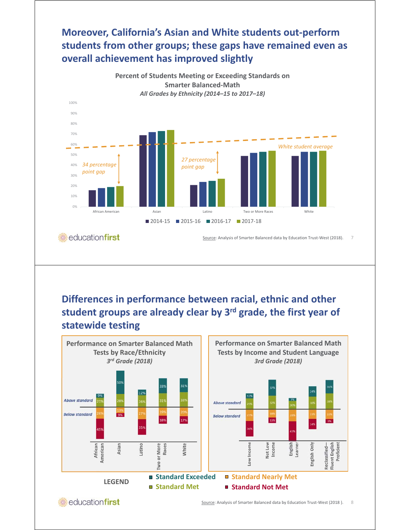### **Moreover, California's Asian and White students out‐perform students from other groups; these gaps have remained even as overall achievement has improved slightly**



### **Differences in performance between racial, ethnic and other student groups are already clear by 3rd grade, the first year of statewide testing**



educationfirst

Source: Analysis of Smarter Balanced data by Education Trust-West (2018). 8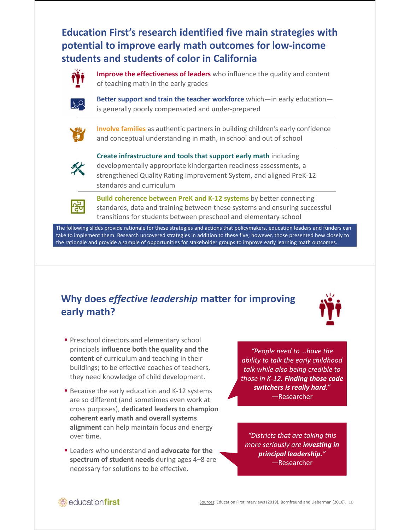**Education First's research identified five main strategies with potential to improve early math outcomes for low‐income students and students of color in California**



**Improve the effectiveness of leaders** who influence the quality and content of teaching math in the early grades



**Better support and train the teacher workforce** which—in early education is generally poorly compensated and under‐prepared



**Involve families** as authentic partners in building children's early confidence and conceptual understanding in math, in school and out of school



**Create infrastructure and tools that support early math** including developmentally appropriate kindergarten readiness assessments, a strengthened Quality Rating Improvement System, and aligned PreK‐12 standards and curriculum



**Build coherence between PreK and K‐12 systems** by better connecting standards, data and training between these systems and ensuring successful transitions for students between preschool and elementary school

The following slides provide rationale for these strategies and actions that policymakers, education leaders and funders can take to implement them. Research uncovered strategies in addition to these five; however, those presented hew closely to the rationale and provide a sample of opportunities for stakeholder groups to improve early learning math outcomes.

### **Why does** *effective leadership* **matter for improving early math?**



- **Preschool directors and elementary school** principals **influence both the quality and the content** of curriculum and teaching in their buildings; to be effective coaches of teachers, they need knowledge of child development.
- Because the early education and K-12 systems are so different (and sometimes even work at cross purposes), **dedicated leaders to champion coherent early math and overall systems alignment** can help maintain focus and energy over time.
- Leaders who understand and **advocate for the spectrum of student needs** during ages 4–8 are necessary for solutions to be effective.

*"People need to …have the ability to talk the early childhood talk while also being credible to those in K‐12. Finding those code switchers is really hard." —*Researcher

*"Districts that are taking this more seriously are investing in principal leadership." —*Researcher

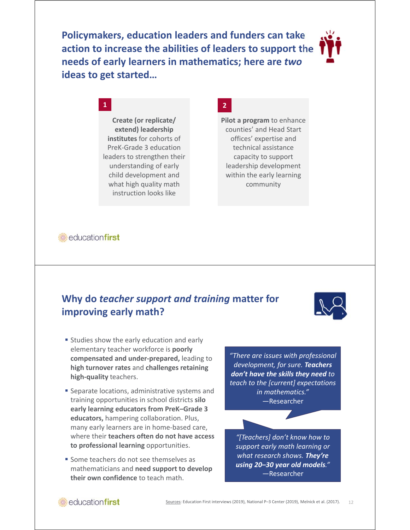**Policymakers, education leaders and funders can take action to increase the abilities of leaders to support the needs of early learners in mathematics; here are** *two* **ideas to get started…**



### **1 2**

**Create (or replicate/ extend) leadership institutes** for cohorts of PreK‐Grade 3 education leaders to strengthen their understanding of early child development and what high quality math instruction looks like

### *in* educationfirst

### **Why do** *teacher support and training* **matter for improving early math?**



- **Studies show the early education and early** elementary teacher workforce is **poorly compensated and under‐prepared,** leading to **high turnover rates** and **challenges retaining high‐quality** teachers.
- **Separate locations, administrative systems and** training opportunities in school districts **silo early learning educators from PreK–Grade 3 educators,** hampering collaboration. Plus, many early learners are in home‐based care, where their **teachers often do not have access to professional learning** opportunities.
- **Some teachers do not see themselves as** mathematicians and **need support to develop their own confidence** to teach math.

*"There are issues with professional development, for sure. Teachers don't have the skills they need to teach to the [current] expectations in mathematics." —*Researcher

**Pilot a program** to enhance counties' and Head Start offices' expertise and technical assistance capacity to support leadership development within the early learning community

> *"[Teachers] don't know how to support early math learning or what research shows. They're using 20–30 year old models." —*Researcher

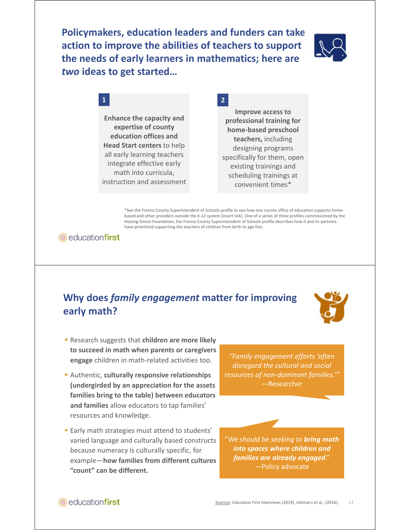**Policymakers, education leaders and funders can take action to improve the abilities of teachers to support the needs of early learners in mathematics; here are**  *two* **ideas to get started…**



### **1 2**

**Enhance the capacity and expertise of county education offices and Head Start centers** to help all early learning teachers integrate effective early math into curricula, instruction and assessment

**Improve access to professional training for home‐based preschool teachers,** including designing programs specifically for them, open existing trainings and scheduling trainings at convenient times\*

\*See the Fresno County Superintendent of Schools profile to see how one county office of education supports home‐ based and other providers outside the K‐12 system [insert link]. One of a series of three profiles commissioned by the Heising‐Simon Foundation, the Fresno County Superintendent of Schools profile describes how it and its partners have prioritized supporting the teachers of children from birth to age five.

educationfirst

### **Why does** *family engagement* **matter for improving early math?**



- Research suggests that **children are more likely to succeed in math when parents or caregivers engage** children in math‐related activities too.
- Authentic, **culturally responsive relationships (undergirded by an appreciation for the assets families bring to the table) between educators and families** allow educators to tap families' resources and knowledge.
- **Early math strategies must attend to students'** varied language and culturally based constructs because numeracy is culturally specific, for example—**how families from different cultures "count" can be different.**

*"Family engagement efforts 'often disregard the cultural and social resources of non‐dominant families.'"* —Researcher

"*We should be seeking to bring math into spaces where children and families are already engaged*." —Policy advocate

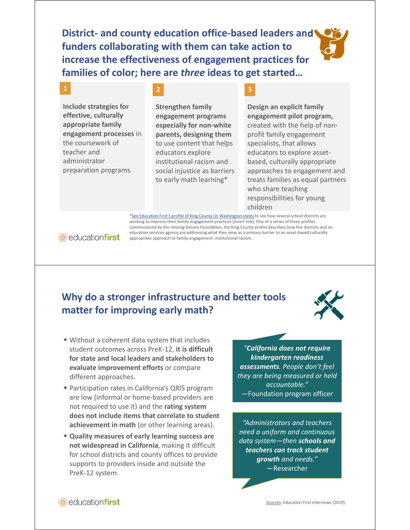**District‐ and county education office‐based leaders and funders collaborating with them can take action to increase the effectiveness of engagement practices for families of color; here are** *three* **ideas to get started…**

**Include strategies for effective, culturally appropriate family engagement processes** in the coursework of teacher and administrator preparation programs

**1 2 3**

**Strengthen family engagement programs especially for non‐white parents, designing them**  to use content that helps educators explore institutional racism and social injustice as barriers to early math learning\*

**Design an explicit family engagement pilot program,**  created with the help of non‐ profit family engagement specialists, that allows educators to explore asset‐ based, culturally appropriate approaches to engagement and treats families as equal partners who share teaching responsibilities for young children

\*See Education First's profile of King County (in Washington state) to see how several school districts are working to improve their family engagement practices [insert link]. One of a series of three profiles commissioned by the Heising-Simons Foundation, the King County profile describes how five districts and an education services agency are addressing what they view as a primary barrier to an asset-based culturally appropriate approach to family engagement: institutional racism.

**educationfirst** 

### **Why do a stronger infrastructure and better tools matter for improving early math?**



- Without a coherent data system that includes student outcomes across PreK‐12, **it is difficult for state and local leaders and stakeholders to evaluate improvement efforts** or compare different approaches.
- **Participation rates in California's QRIS program** are low (informal or home‐based providers are not required to use it) and the **rating system does not include items that correlate to student achievement in math** (or other learning areas).
- **Quality measures of early learning success are not widespread in California**, making it difficult for school districts and county offices to provide supports to providers inside and outside the PreK‐12 system.

*"California does not require kindergarten readiness assessments. People don't feel they are being measured or held accountable." —*Foundation program officer

*"Administrators and teachers need a uniform and continuous data system—then schools and teachers can track student growth and needs."* —Researcher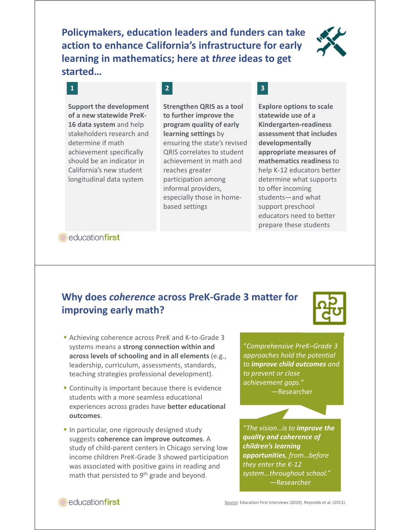**Policymakers, education leaders and funders can take action to enhance California's infrastructure for early learning in mathematics; here at** *three* **ideas to get started…**



**Support the development of a new statewide PreK‐ 16 data system** and help stakeholders research and determine if math achievement specifically should be an indicator in California's new student longitudinal data system

## **1 2 3**

**Strengthen QRIS as a tool to further improve the program quality of early learning settings** by ensuring the state's revised QRIS correlates to student achievement in math and reaches greater participation among informal providers, especially those in home‐ based settings

**Explore options to scale statewide use of a Kindergarten‐readiness assessment that includes developmentally appropriate measures of mathematics readiness** to help K‐12 educators better determine what supports to offer incoming students—and what support preschool educators need to better prepare these students

*<u><b>* educationfirst</u>

### **Why does** *coherence* **across PreK‐Grade 3 matter for improving early math?**

- Achieving coherence across PreK and K-to-Grade 3 systems means a **strong connection within and across levels of schooling and in all elements** (e.g., leadership, curriculum, assessments, standards, teaching strategies professional development).
- **Continuity is important because there is evidence** students with a more seamless educational experiences across grades have **better educational outcomes**.
- **In particular, one rigorously designed study** suggests **coherence can improve outcomes**. A study of child‐parent centers in Chicago serving low income children PreK‐Grade 3 showed participation was associated with positive gains in reading and math that persisted to 9<sup>th</sup> grade and beyond.



"*Comprehensive PreK–Grade 3 approaches hold the potential to improve child outcomes and to prevent or close achievement gaps.*" —Researcher

*"The vision…is to improve the quality and coherence of children's learning opportunities, from…before they enter the K‐12 system...throughout school."* —Researcher

### educationfirst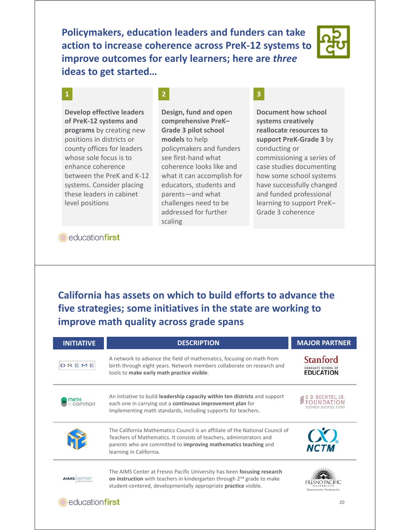**Policymakers, education leaders and funders can take action to increase coherence across PreK‐12 systems to improve outcomes for early learners; here are** *three* **ideas to get started…**



**Develop effective leaders of PreK‐12 systems and programs** by creating new positions in districts or county offices for leaders whose sole focus is to enhance coherence between the PreK and K‐12 systems. Consider placing these leaders in cabinet level positions

### **1 2 3**

**Design, fund and open comprehensive PreK– Grade 3 pilot school models** to help policymakers and funders see first‐hand what coherence looks like and what it can accomplish for educators, students and parents—and what challenges need to be addressed for further scaling

**Document how school systems creatively reallocate resources to support PreK‐Grade 3** by conducting or commissioning a series of case studies documenting how some school systems have successfully changed and funded professional learning to support PreK– Grade 3 coherence

*i* educationfirst

educationfirst

### **California has assets on which to build efforts to advance the five strategies; some initiatives in the state are working to improve math quality across grade spans**

| <b>INITIATIVE</b> | <b>DESCRIPTION</b>                                                                                                                                                                                                                                  | <b>MAJOR PARTNER</b>                                      |
|-------------------|-----------------------------------------------------------------------------------------------------------------------------------------------------------------------------------------------------------------------------------------------------|-----------------------------------------------------------|
| DREME             | A network to advance the field of mathematics, focusing on math from<br>birth through eight years. Network members collaborate on research and<br>tools to make early math practice visible.                                                        | Stanford<br><b>GRADUATE SCHOOL OF</b><br><b>EDUCATION</b> |
|                   | An initiative to build leadership capacity within ten districts and support<br>each one in carrying out a continuous improvement plan for<br>implementing math standards, including supports for teachers.                                          | D. BECHTEL, JR.                                           |
|                   | The California Mathematics Council is an affiliate of the National Council of<br>Teachers of Mathematics. It consists of teachers, administrators and<br>parents who are committed to improving mathematics teaching and<br>learning in California. | $\alpha$<br><b>NCTA</b>                                   |
|                   | The AIMS Center at Fresno Pacific University has been focusing research<br>on instruction with teachers in kindergarten through 2 <sup>nd</sup> grade to make<br>student-centered, developmentally appropriate <b>practice</b> visible.             | Empowering leaders. Transforming lives.                   |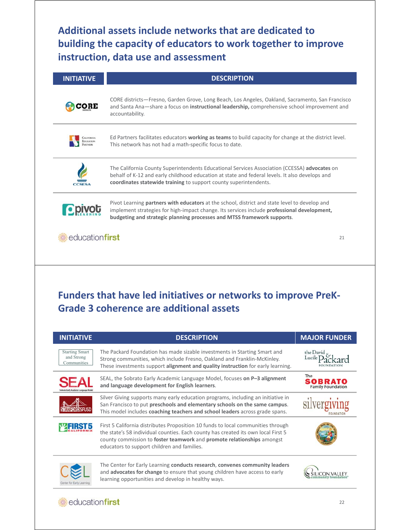**Additional assets include networks that are dedicated to building the capacity of educators to work together to improve instruction, data use and assessment**

| <b>INITIATIVE</b> | <b>DESCRIPTION</b>                                                                                                                                                                                                                                                              |  |
|-------------------|---------------------------------------------------------------------------------------------------------------------------------------------------------------------------------------------------------------------------------------------------------------------------------|--|
|                   | CORE districts—Fresno, Garden Grove, Long Beach, Los Angeles, Oakland, Sacramento, San Francisco<br>and Santa Ana—share a focus on <b>instructional leadership</b> , comprehensive school improvement and<br>accountability.                                                    |  |
|                   | Ed Partners facilitates educators working as teams to build capacity for change at the district level.<br>This network has not had a math-specific focus to date.                                                                                                               |  |
|                   | The California County Superintendents Educational Services Association (CCESSA) advocates on<br>behalf of K-12 and early childhood education at state and federal levels. It also develops and<br>coordinates statewide training to support county superintendents.             |  |
|                   | Pivot Learning partners with educators at the school, district and state level to develop and<br>implement strategies for high-impact change. Its services include <b>professional development</b> ,<br>budgeting and strategic planning processes and MTSS framework supports. |  |
| educationfirst    | 21                                                                                                                                                                                                                                                                              |  |

# **Funders that have led initiatives or networks to improve PreK‐ Grade 3 coherence are additional assets**

| <b>INITIATIVE</b>                                  | <b>DESCRIPTION</b>                                                                                                                                                                                                                                                                             | <b>MAJOR FUNDER</b>                               |
|----------------------------------------------------|------------------------------------------------------------------------------------------------------------------------------------------------------------------------------------------------------------------------------------------------------------------------------------------------|---------------------------------------------------|
| <b>Starting Smart</b><br>and Strong<br>Communities | The Packard Foundation has made sizable investments in Starting Smart and<br>Strong communities, which include Fresno, Oakland and Franklin-McKinley.<br>These investments support alignment and quality instruction for early learning.                                                       | the David                                         |
|                                                    | SEAL, the Sobrato Early Academic Language Model, focuses on P-3 alignment<br>and language development for English learners.                                                                                                                                                                    | The<br><b>SOBRATO</b><br><b>Family Foundation</b> |
|                                                    | Silver Giving supports many early education programs, including an initiative in<br>San Francisco to put preschools and elementary schools on the same campus.<br>This model includes coaching teachers and school leaders across grade spans.                                                 |                                                   |
|                                                    | First 5 California distributes Proposition 10 funds to local communities through<br>the state's 58 individual counties. Each county has created its own local First 5<br>county commission to foster teamwork and promote relationships amongst<br>educators to support children and families. |                                                   |
| enter for Early Li                                 | The Center for Early Learning conducts research, convenes community leaders<br>and <b>advocates for change</b> to ensure that young children have access to early<br>learning opportunities and develop in healthy ways.                                                                       |                                                   |

### **educationfirst**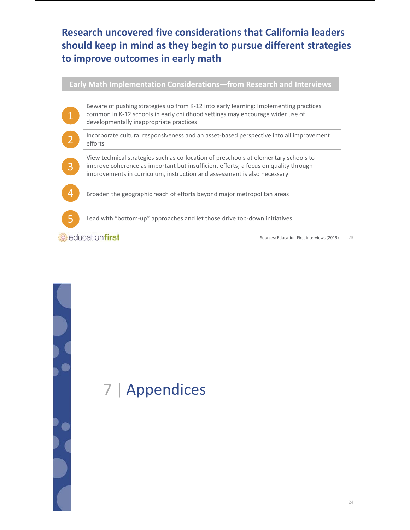### **Research uncovered five considerations that California leaders should keep in mind as they begin to pursue different strategies to improve outcomes in early math**

**Early Math Implementation Considerations—from Research and Interviews**

Beware of pushing strategies up from K‐12 into early learning: Implementing practices common in K‐12 schools in early childhood settings may encourage wider use of developmentally inappropriate practices

Incorporate cultural responsiveness and an asset‐based perspective into all improvement efforts

View technical strategies such as co‐location of preschools at elementary schools to improve coherence as important but insufficient efforts; a focus on quality through improvements in curriculum, instruction and assessment is also necessary

Broaden the geographic reach of efforts beyond major metropolitan areas

Lead with "bottom‐up" approaches and let those drive top‐down initiatives

*<u><b>* educationfirst</u>

1

2

3

4

5

23 Sources: Education First interviews (2019)

# 7 | Appendices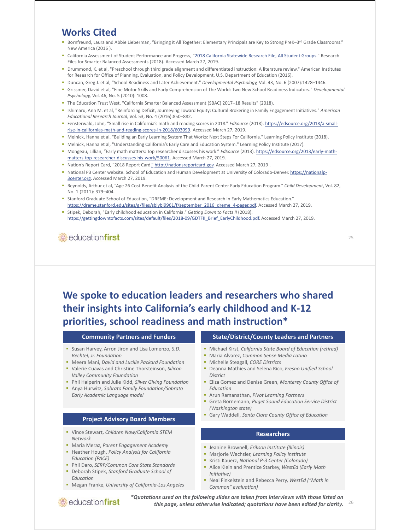### **Works Cited**

- Bornfreund, Laura and Abbie Lieberman, "Bringing it All Together: Elementary Principals are Key to Strong PreK-3rd Grade Classrooms." New America (2016 ).
- California Assessment of Student Performance and Progress, "2018 California Statewide Research File, All Student Groups." Research Files for Smarter Balanced Assessments (2018). Accessed March 27, 2019.
- Drummond, K. et al, "Preschool through third grade alignment and differentiated instruction: A literature review." American Institutes for Research for Office of Planning, Evaluation, and Policy Development, U.S. Department of Education (2016).
- Duncan, Greg J. et al, "School Readiness and Later Achievement." *Developmental Psychology,* Vol. 43, No. 6 (2007):1428–1446.
- Grissmer, David et al, "Fine Motor Skills and Early Comprehension of The World: Two New School Readiness Indicators." *Developmental Psychology,* Vol. 46, No. 5 (2010): 1008.
- The Education Trust West, "California Smarter Balanced Assessment (SBAC) 2017–18 Results" (2018).
- Ishimaru, Ann M. et al, "Reinforcing Deficit, Journeying Toward Equity: Cultural Brokering in Family Engagement Initiatives." *American Educational Research Journal,* Vol. 53, No. 4 (2016):850–882.
- Fensterwald, John, "Small rise in California's math and reading scores in 2018." *EdSource* (2018). https://edsource.org/2018/a‐small‐ rise‐in‐californias‐math‐and‐reading‐scores‐in‐2018/603099. Accessed March 27, 2019.
- Melnick, Hanna et al, "Building an Early Learning System That Works: Next Steps For California." Learning Policy Institute (2018).
- Melnick, Hanna et al, "Understanding California's Early Care and Education System." Learning Policy Institute (2017).
- Mongeau, Lillian, "Early math matters: Top researcher discusses his work." *EdSource* (2013). https://edsource.org/2013/early-mathmatters-top-researcher-discusses-his-work/50061</u>. Accessed March 27, 2019.
- Nation's Report Card, "2018 Report Card." http://nationsreportcard.gov. Accessed March 27, 2019.
- National P3 Center website. School of Education and Human Development at University of Colorado-Denver. https://nationalp-3center.org. Accessed March 27, 2019.
- Reynolds, Arthur et al, "Age 26 Cost‐Benefit Analysis of the Child‐Parent Center Early Education Program." *Child Development*, Vol. 82, No. 1 (2011): 379–404.
- Stanford Graduate School of Education, "DREME: Development and Research in Early Mathematics Education." https://dreme.stanford.edu/sites/g/files/sbiybj9961/f/september\_2016\_dreme\_4-pager.pdf. Accessed March 27, 2019.
- Stipek, Deborah, "Early childhood education in California." *Getting Down to Facts II* (2018). https://gettingdowntofacts.com/sites/default/files/2018-09/GDTFII\_Brief\_EarlyChildhood.pdf. Accessed March 27, 2019.

educationfirst

### **We spoke to education leaders and researchers who shared their insights into California's early childhood and K‐12 priorities, school readiness and math instruction\***

#### **Community Partners and Funders**

- Susan Harvey, Arron Jiron and Lisa Lomenzo, *S.D. Bechtel, Jr. Foundation*
- Meera Mani, *David and Lucille Packard Foundation* Valerie Cuavas and Christine Thorsteinson, *Silicon*
- *Valley Community Foundation*
- Phil Halperin and Julie Kidd, *Silver Giving Foundation*
- Anya Hurwitz, *Sobrato Family Foundation/Sobrato Early Academic Language model*

#### **Project Advisory Board Members**

- Vince Stewart, *Children Now/California STEM Network*
- Maria Meraz, *Parent Engagement Academy*
- Heather Hough, *Policy Analysis for California Education (PACE)*
- Phil Daro, *SERP/Common Core State Standards*
- Deborah Stipek, *Stanford Graduate School of Education*
- Megan Franke, *University of California‐Los Angeles*

#### **State/District/County Leaders and Partners**

- Michael Kirst, *California State Board of Education (retired)*
- Maria Alvarez, *Common Sense Media Latino*
- Michelle Steagall, *CORE Districts*
- Deanna Mathies and Selena Rico, *Fresno Unified School District*
- Eliza Gomez and Denise Green, *Monterey County Office of Education*
- Arun Ramanathan, *Pivot Learning Partners*
- Greta Bornemann, *Puget Sound Education Service District (Washington state)*
- Gary Waddell, *Santa Clara County Office of Education*

#### **Researchers**

- Jeanine Brownell, *Erikson Institute (Illinois)*
- Marjorie Wechsler, *Learning Policy Institute*
- Kristi Kauerz, *National P-3 Center (Colorado)*
- Alice Klein and Prentice Starkey, *WestEd (Early Math Initiative)*
- Neal Finkelstein and Rebecca Perry, *WestEd ("Math in Common" evaluation)*

educationfirst

26 *\*Quotations used on the following slides are taken from interviews with those listed on this page, unless otherwise indicated; quotations have been edited for clarity.*

25